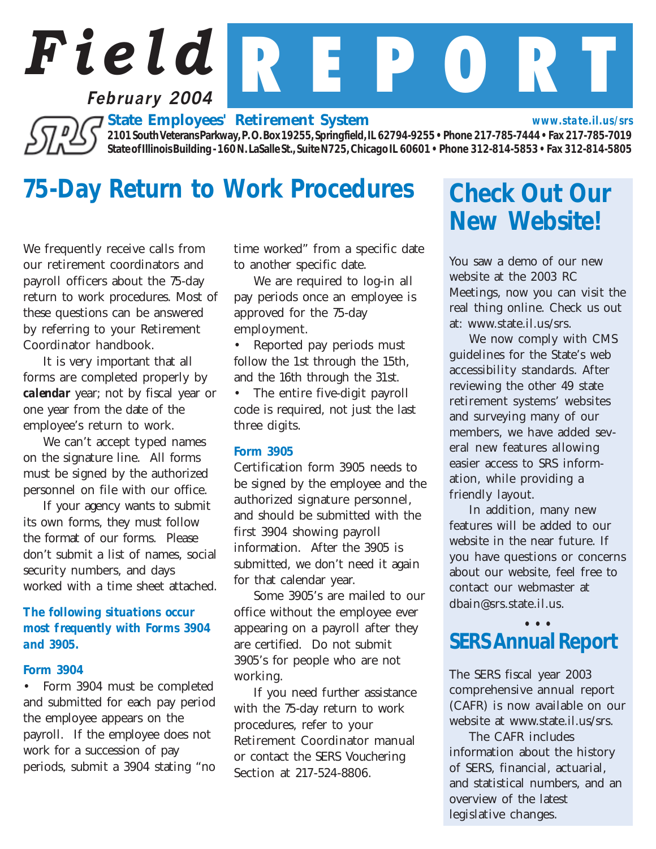## *Field* R E P O R T **February 2004**

*State Employees' Retirement System*

*2101 South Veterans Parkway, P. O. Box 19255, Springfield, IL 62794-9255 • Phone 217-785-7444 • Fax 217-785-7019 State of Illinois Building - 160 N. LaSalle St., Suite N725, Chicago IL 60601 • Phone 312-814-5853 • Fax 312-814-5805*

## *75-Day Return to Work Procedures Check Out Our*

We frequently receive calls from our retirement coordinators and payroll officers about the 75-day return to work procedures. Most of these questions can be answered by referring to your Retirement Coordinator handbook.

It is very important that all forms are completed properly by *calendar* year; not by fiscal year or one year from the date of the employee's return to work.

We can't accept typed names on the signature line. All forms must be signed by the authorized personnel on file with our office.

If your agency wants to submit its own forms, they must follow the format of our forms. Please don't submit a list of names, social security numbers, and days worked with a time sheet attached.

#### *The following situations occur most frequently with Forms 3904 and 3905.*

#### *Form 3904*

• Form 3904 must be completed and submitted for each pay period the employee appears on the payroll. If the employee does not work for a succession of pay periods, submit a 3904 stating "no time worked" from a specific date to another specific date.

We are required to log-in all pay periods once an employee is approved for the 75-day employment.

• Reported pay periods must follow the 1st through the 15th, and the 16th through the 31st. • The entire five-digit payroll code is required, not just the last three digits.

#### *Form 3905*

Certification form 3905 needs to be signed by the employee and the authorized signature personnel, and should be submitted with the first 3904 showing payroll information. After the 3905 is submitted, we don't need it again for that calendar year.

Some 3905's are mailed to our office without the employee ever appearing on a payroll after they are certified. Do not submit 3905's for people who are not working.

If you need further assistance with the 75-day return to work procedures, refer to your Retirement Coordinator manual or contact the SERS Vouchering Section at 217-524-8806.

# *New Website!*

*www.state.il.us/srs*

You saw a demo of our new website at the 2003 RC Meetings, now you can visit the real thing online. Check us out at: www.state.il.us/srs.

We now comply with CMS guidelines for the State's web accessibility standards. After reviewing the other 49 state retirement systems' websites and surveying many of our members, we have added several new features allowing easier access to SRS information, while providing a friendly layout.

In addition, many new features will be added to our website in the near future. If you have questions or concerns about our website, feel free to contact our webmaster at dbain@srs.state.il.us.

#### *• • • SERS Annual Report*

The SERS fiscal year 2003 comprehensive annual report (CAFR) is now available on our website at www.state.il.us/srs.

The CAFR includes information about the history of SERS, financial, actuarial, and statistical numbers, and an overview of the latest legislative changes.